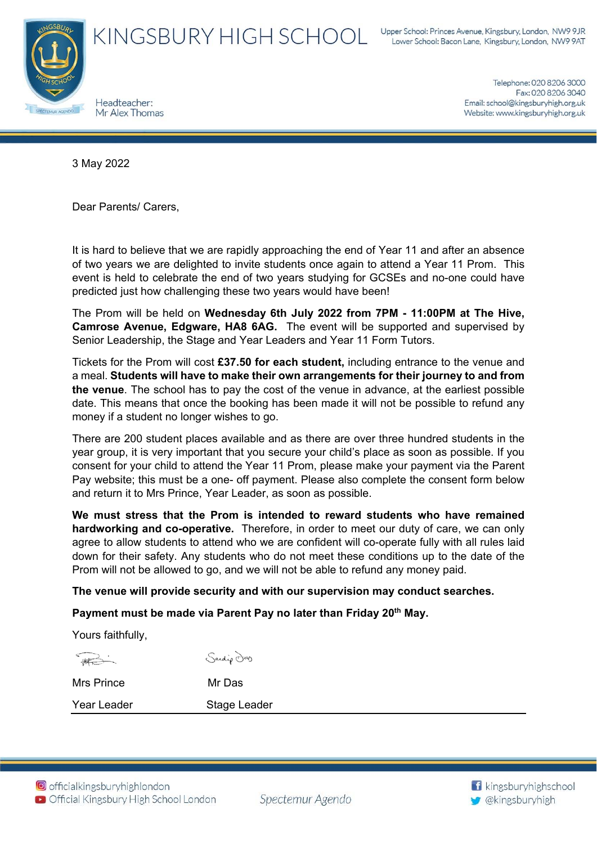

Telephone: 020 8206 3000 Fax: 020 8206 3040 Email: school@kingsburyhigh.org.uk Website: www.kingsburyhigh.org.uk

3 May 2022

Dear Parents/ Carers,

It is hard to believe that we are rapidly approaching the end of Year 11 and after an absence of two years we are delighted to invite students once again to attend a Year 11 Prom. This event is held to celebrate the end of two years studying for GCSEs and no-one could have predicted just how challenging these two years would have been!

The Prom will be held on **Wednesday 6th July 2022 from 7PM - 11:00PM at The Hive, Camrose Avenue, Edgware, HA8 6AG.** The event will be supported and supervised by Senior Leadership, the Stage and Year Leaders and Year 11 Form Tutors.

Tickets for the Prom will cost **£37.50 for each student,** including entrance to the venue and a meal. **Students will have to make their own arrangements for their journey to and from the venue**. The school has to pay the cost of the venue in advance, at the earliest possible date. This means that once the booking has been made it will not be possible to refund any money if a student no longer wishes to go.

There are 200 student places available and as there are over three hundred students in the year group, it is very important that you secure your child's place as soon as possible. If you consent for your child to attend the Year 11 Prom, please make your payment via the Parent Pay website; this must be a one- off payment. Please also complete the consent form below and return it to Mrs Prince, Year Leader, as soon as possible.

**We must stress that the Prom is intended to reward students who have remained hardworking and co-operative.** Therefore, in order to meet our duty of care, we can only agree to allow students to attend who we are confident will co-operate fully with all rules laid down for their safety. Any students who do not meet these conditions up to the date of the Prom will not be allowed to go, and we will not be able to refund any money paid.

## **The venue will provide security and with our supervision may conduct searches.**

Payment must be made via Parent Pay no later than Friday 20<sup>th</sup> May.

Yours faithfully,

Sanding Day

Year Leader Stage Leader



Mrs Prince Mr Das